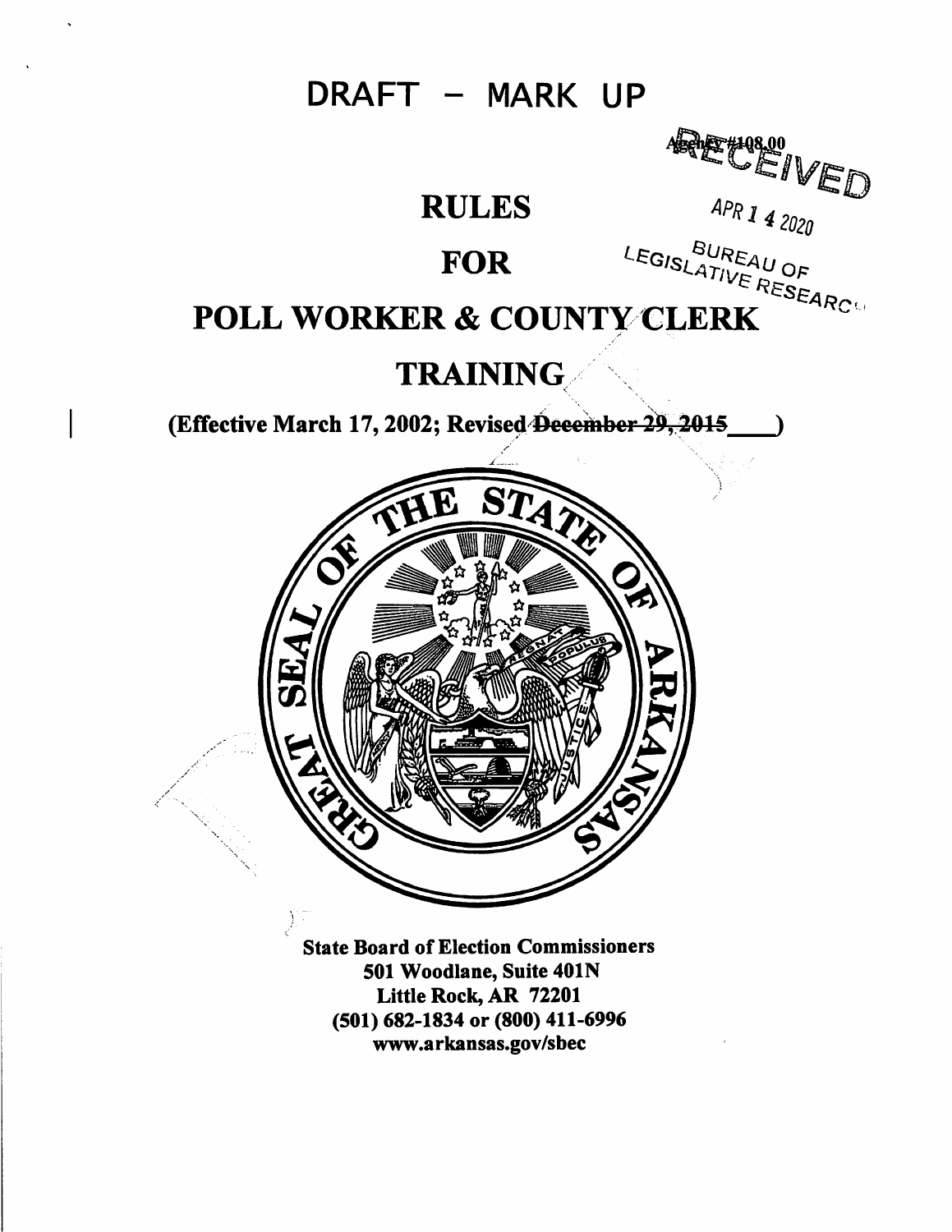DRAFT - MARK UP

**RULES** 

### **FOR**

ARE CEIVED

APR 1 4 2020

# LEGISLATIVE RESEARC **POLL WORKER & COUNTY CLERK**

### **TRAINING**

(Effective March 17, 2002; Revised December 29, 2015



**State Board of Election Commissioners** 501 Woodlane, Suite 401N Little Rock, AR 72201 (501) 682-1834 or (800) 411-6996 www.arkansas.gov/sbec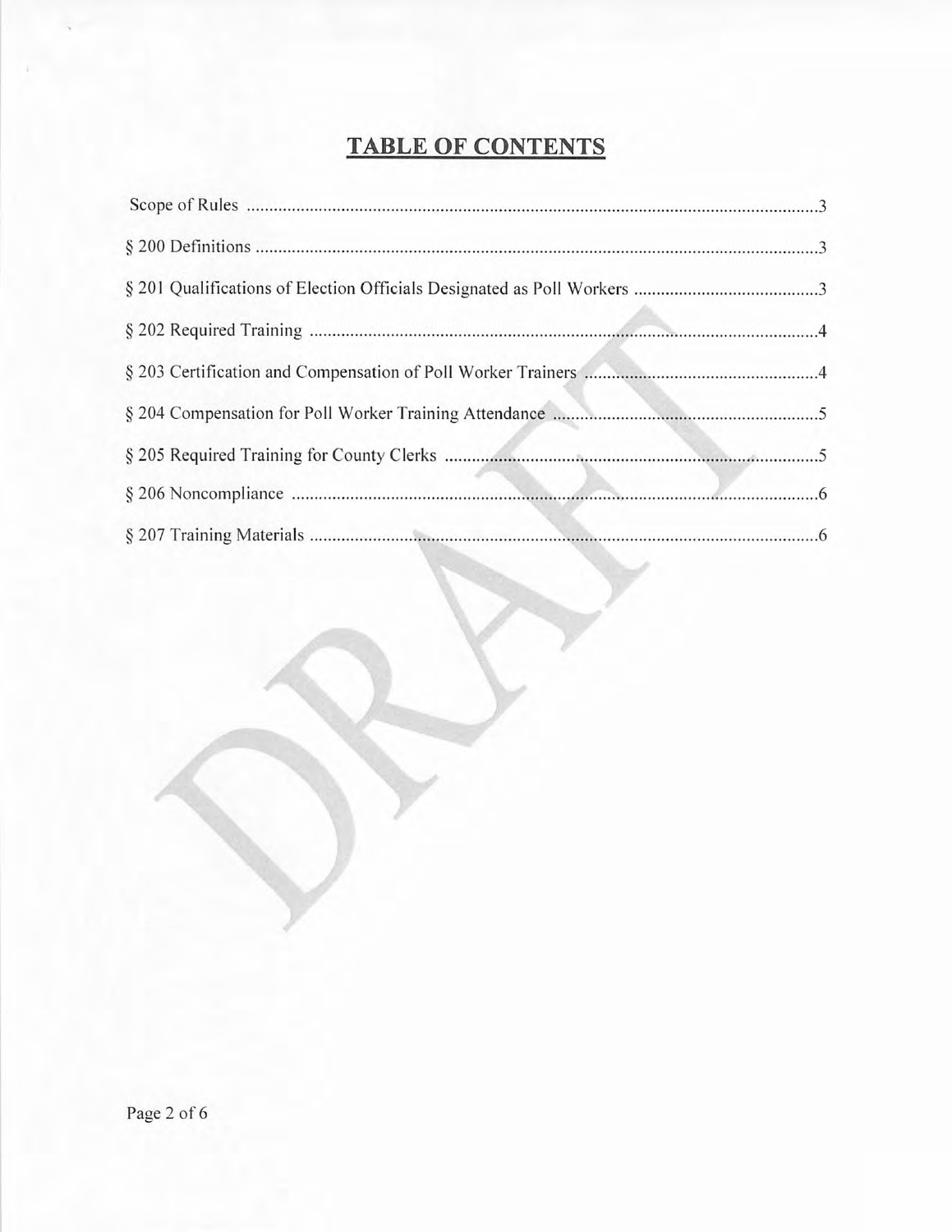## TABLE OF CONTENTS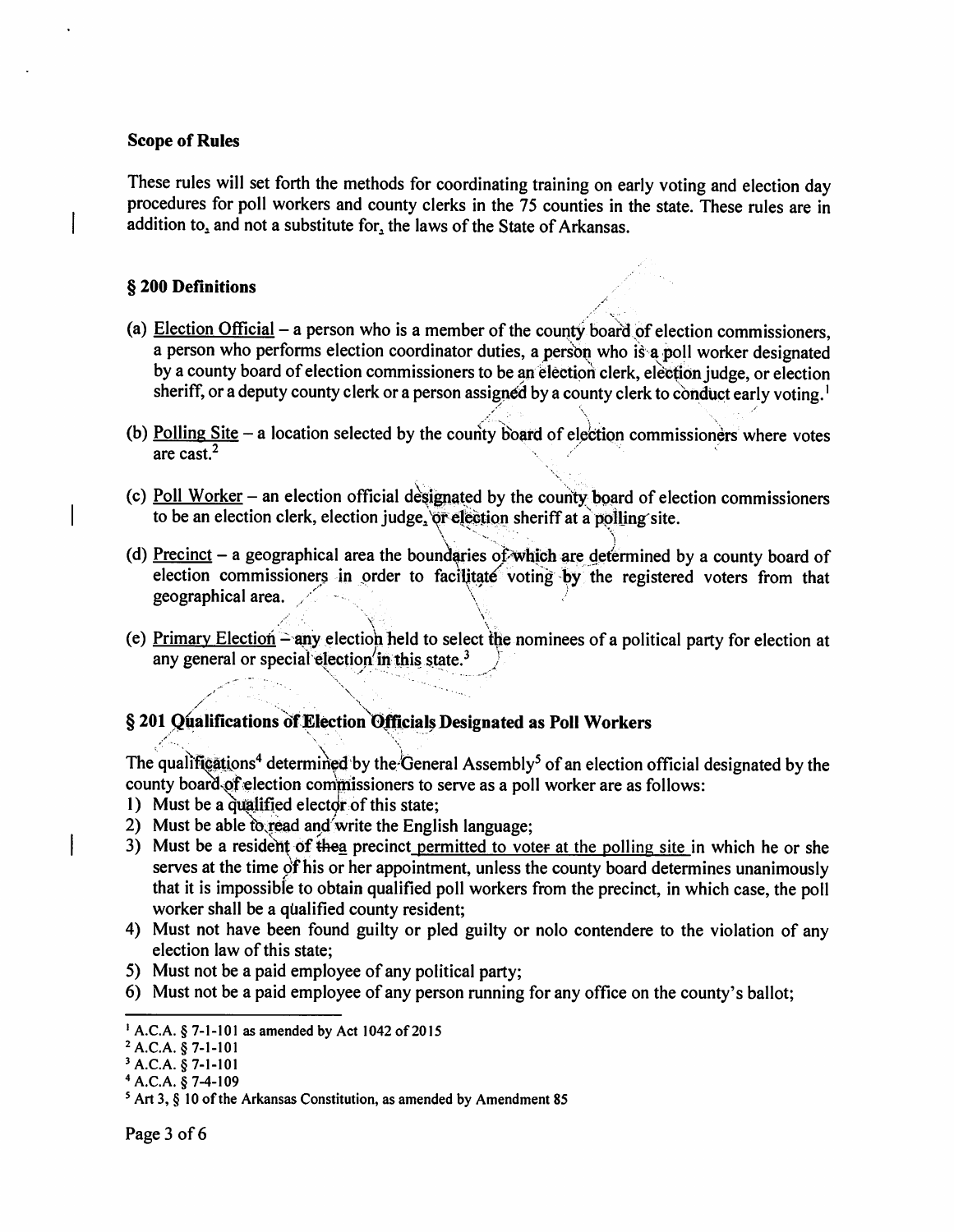#### **Scope of Rules**

These rules will set forth the methods for coordinating training on early voting and election day procedures for poll workers and county clerks in the 75 counties in the state. These rules are in addition to, and not a substitute for, the laws of the State of Arkansas.

#### § 200 Definitions

- (a) Election Official a person who is a member of the county board of election commissioners, a person who performs election coordinator duties, a person who is a poll worker designated by a county board of election commissioners to be an election clerk, election judge, or election sheriff, or a deputy county clerk or a person assigned by a county clerk to conduct early voting.<sup>1</sup>
- (b) Polling Site  $-$  a location selected by the county board of election commissioners where votes are cast. $<sup>2</sup>$ </sup>
- (c) Poll Worker an election official designated by the county board of election commissioners to be an election clerk, election judge, or election sheriff at a polling site.
- (d) Precinct a geographical area the boundaries of which are determined by a county board of election commissioners in order to facilitate voting by the registered voters from that geographical area.
- (e) Primary Election any election held to select the nominees of a political party for election at any general or special election in this state.<sup>3</sup>

#### § 201 Qualifications of Election Officials Designated as Poll Workers

The qualifications<sup>4</sup> determined by the General Assembly<sup>5</sup> of an election official designated by the county board of election commissioners to serve as a poll worker are as follows:

- 1) Must be a qualified elector of this state;
- 2) Must be able to read and write the English language;
- 3) Must be a resident of the a precinct permitted to voter at the polling site in which he or she serves at the time of his or her appointment, unless the county board determines unanimously that it is impossible to obtain qualified poll workers from the precinct, in which case, the poll worker shall be a qualified county resident;
- 4) Must not have been found guilty or pled guilty or nolo contendere to the violation of any election law of this state:
- 5) Must not be a paid employee of any political party;
- 6) Must not be a paid employee of any person running for any office on the county's ballot;

<sup>&</sup>lt;sup>1</sup> A.C.A. § 7-1-101 as amended by Act 1042 of 2015

<sup>&</sup>lt;sup>2</sup> A.C.A. § 7-1-101

 $3 A.C.A. § 7-1-101$ 

 $4 A.C.A. § 7-4-109$ 

 $5$  Art 3, § 10 of the Arkansas Constitution, as amended by Amendment 85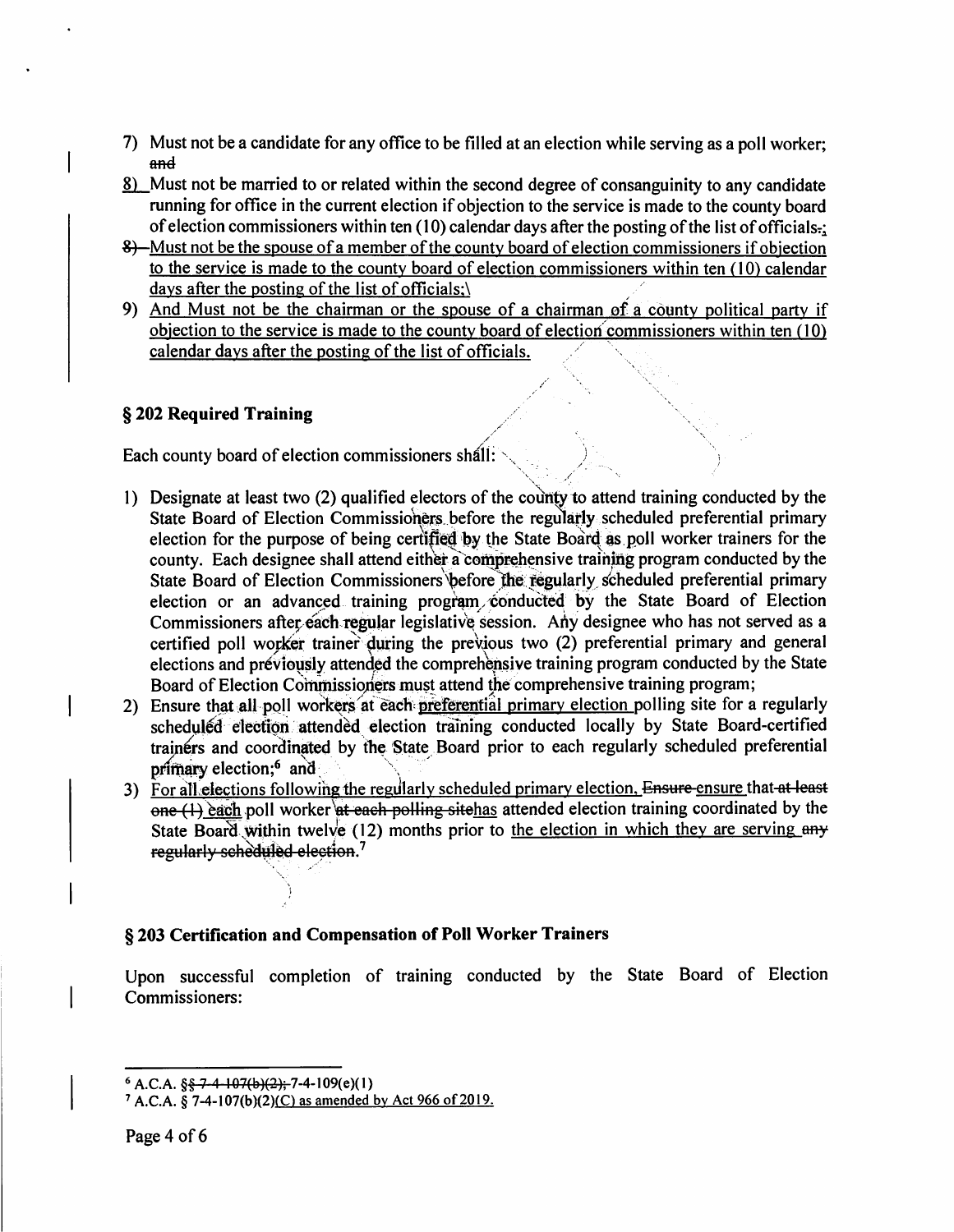- 7) Must not be a candidate for any office to be filled at an election while serving as a poll worker; and
- <u>8)</u> Must not be married to or related within the second degree of consanguinity to any candidate running for office in the current election if objection to the service is made to the county board of election commissioners within ten  $(10)$  calendar days after the posting of the list of officials.
- 8) -Must not be the spouse of a member of the county board of election commissioners if objection to the service is made to the county board of election commissioners within ten (10) calendar days after the posting of the list of officials;
- 9) And Must not be the chairman or the spouse of a chairman of a county political party if objection to the service is made to the county board of election commissioners within ten (10) calendar days after the posting of the list of officials.

#### § 202 Required Training

Each county board of election commissioners shall:

- 1) Designate at least two (2) qualified electors of the county to attend training conducted by the State Board of Election Commissioners before the regularly scheduled preferential primary election for the purpose of being certified by the State Board as poll worker trainers for the county. Each designee shall attend either a comprehensive training program conducted by the State Board of Election Commissioners before the regularly scheduled preferential primary election or an advanced training program conducted by the State Board of Election Commissioners after each regular legislative session. Any designee who has not served as a certified poll worker trainer during the previous two (2) preferential primary and general elections and previously attended the comprehensive training program conducted by the State Board of Election Commissioners must attend the comprehensive training program;
- 2) Ensure that all poll workers at each preferential primary election polling site for a regularly scheduled election attended election training conducted locally by State Board-certified trainers and coordinated by the State Board prior to each regularly scheduled preferential primary election;<sup>6</sup> and
- 3) For all elections following the regularly scheduled primary election. Ensure ensure that at least  $one (1)$  each poll worker at each polling site has attended election training coordinated by the State Board within twelve (12) months prior to the election in which they are serving any regularly scheduled election.<sup>7</sup>

#### § 203 Certification and Compensation of Poll Worker Trainers

Upon successful completion of training conducted by the State Board of Election Commissioners:

 $6$  A.C.A.  $\S$  $\frac{2}{3}$   $\frac{24}{107(b)(2)}$ ; 7-4-109(e)(1)

<sup>&</sup>lt;sup>7</sup> A.C.A. § 7-4-107(b)(2)(C) as amended by Act 966 of 2019.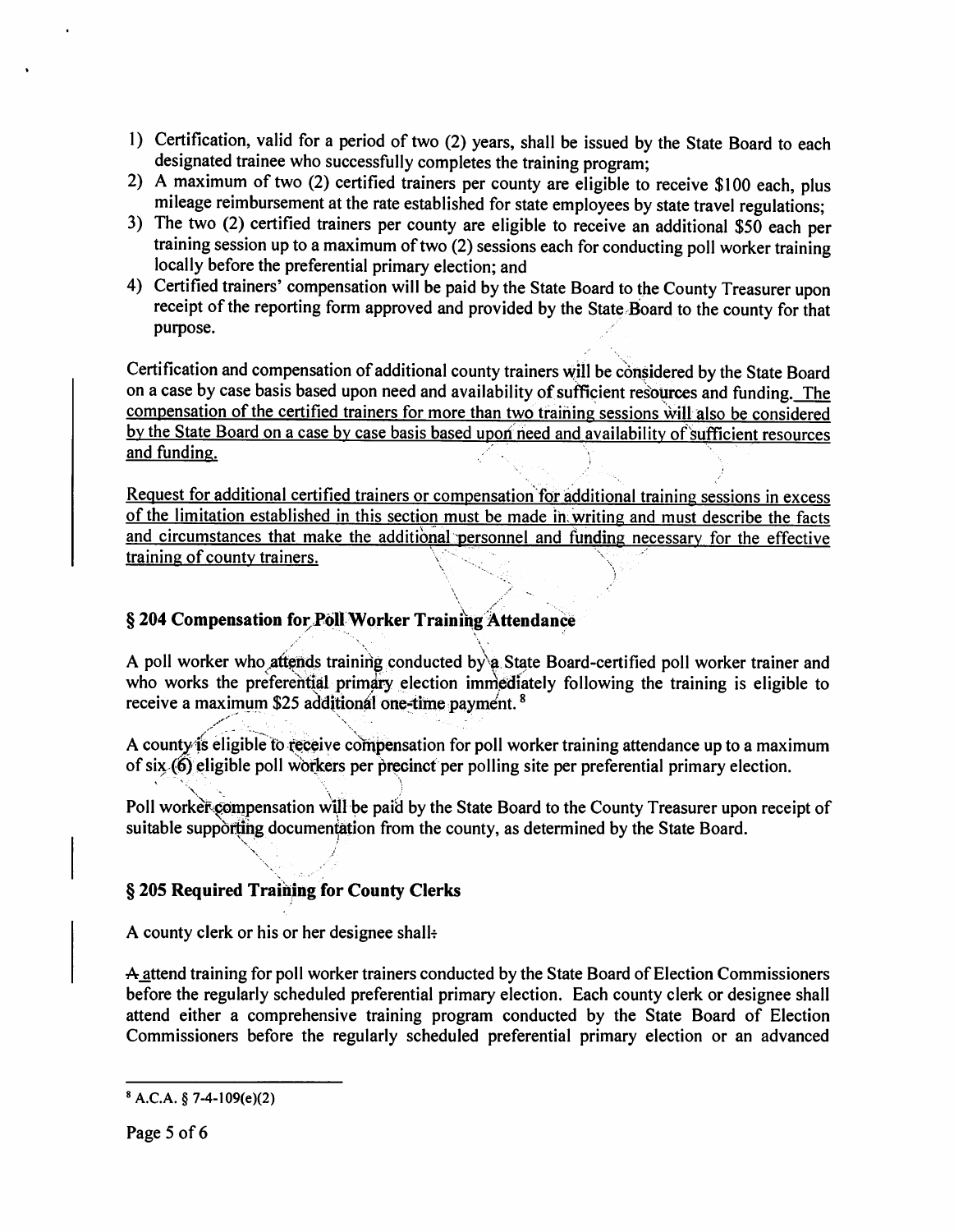- 1) Certification, valid for a period of two (2) years, shall be issued by the State Board to each designated trainee who successfully completes the training program;
- 2) A maximum of two (2) certified trainers per county are eligible to receive \$100 each, plus mileage reimbursement at the rate established for state employees by state travel regulations;
- 3) The two (2) certified trainers per county are eligible to receive an additional \$50 each per training session up to a maximum of two (2) sessions each for conducting poll worker training locally before the preferential primary election; and
- 4) Certified trainers' compensation will be paid by the State Board to the County Treasurer upon receipt of the reporting form approved and provided by the State Board to the county for that purpose.

Certification and compensation of additional county trainers will be considered by the State Board on a case by case basis based upon need and availability of sufficient resources and funding. The compensation of the certified trainers for more than two training sessions will also be considered by the State Board on a case by case basis based upon need and availability of sufficient resources and funding.

Request for additional certified trainers or compensation for additional training sessions in excess of the limitation established in this section must be made in writing and must describe the facts and circumstances that make the additional personnel and funding necessary for the effective training of county trainers.

#### § 204 Compensation for Poll Worker Training Attendance

A poll worker who attends training conducted by a State Board-certified poll worker trainer and who works the preferential primary election immediately following the training is eligible to receive a maximum \$25 additional one-time payment. <sup>8</sup>

A county is eligible to receive compensation for poll worker training attendance up to a maximum of six (6) eligible poll workers per precinct per polling site per preferential primary election.

Poll worker compensation will be paid by the State Board to the County Treasurer upon receipt of suitable supporting documentation from the county, as determined by the State Board.

#### § 205 Required Training for County Clerks

A county clerk or his or her designee shall.

A attend training for poll worker trainers conducted by the State Board of Election Commissioners before the regularly scheduled preferential primary election. Each county clerk or designee shall attend either a comprehensive training program conducted by the State Board of Election Commissioners before the regularly scheduled preferential primary election or an advanced

 $8 A.C.A. § 7-4-109(e)(2)$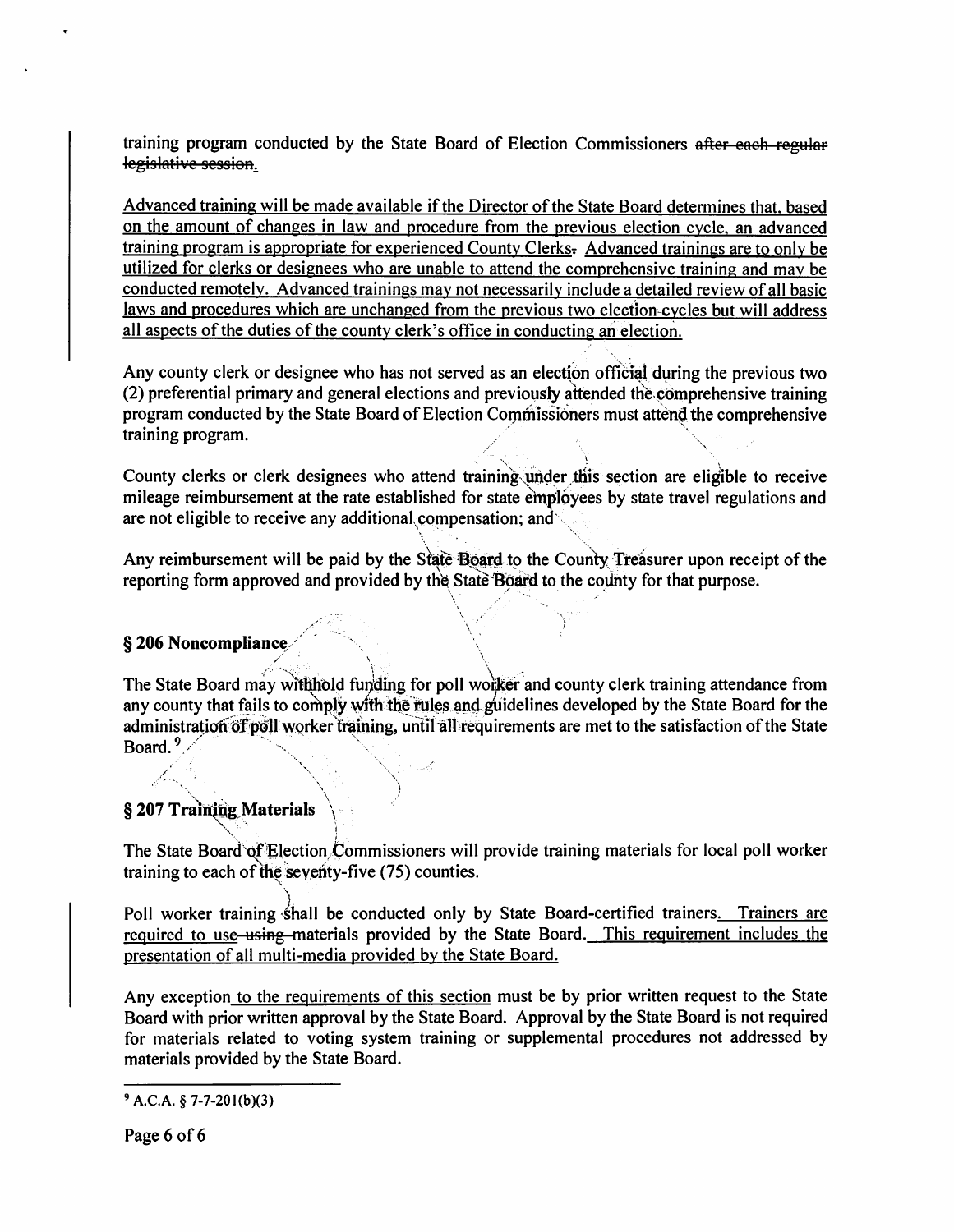training program conducted by the State Board of Election Commissioners after each regular legislative session.

Advanced training will be made available if the Director of the State Board determines that, based on the amount of changes in law and procedure from the previous election cycle, an advanced training program is appropriate for experienced County Clerks. Advanced trainings are to only be utilized for clerks or designees who are unable to attend the comprehensive training and may be conducted remotely. Advanced trainings may not necessarily include a detailed review of all basic laws and procedures which are unchanged from the previous two election-cycles but will address all aspects of the duties of the county clerk's office in conducting an election.

Any county clerk or designee who has not served as an election official during the previous two (2) preferential primary and general elections and previously attended the comprehensive training program conducted by the State Board of Election Commissioners must attend the comprehensive training program.

County clerks or clerk designees who attend training under this section are eligible to receive mileage reimbursement at the rate established for state employees by state travel regulations and are not eligible to receive any additional compensation; and

Any reimbursement will be paid by the State Board to the County Treasurer upon receipt of the reporting form approved and provided by the State Board to the county for that purpose.

#### § 206 Noncompliance

The State Board may withhold funding for poll worker and county clerk training attendance from any county that fails to comply with the rules and guidelines developed by the State Board for the administration of poll worker training, until all requirements are met to the satisfaction of the State Board.  $9$ .

#### § 207 Training Materials

The State Board of Election Commissioners will provide training materials for local poll worker training to each of the seventy-five (75) counties.

Poll worker training shall be conducted only by State Board-certified trainers. Trainers are required to use using materials provided by the State Board. This requirement includes the presentation of all multi-media provided by the State Board.

Any exception to the requirements of this section must be by prior written request to the State Board with prior written approval by the State Board. Approval by the State Board is not required for materials related to voting system training or supplemental procedures not addressed by materials provided by the State Board.

 $9$  A.C.A. § 7-7-201(b)(3)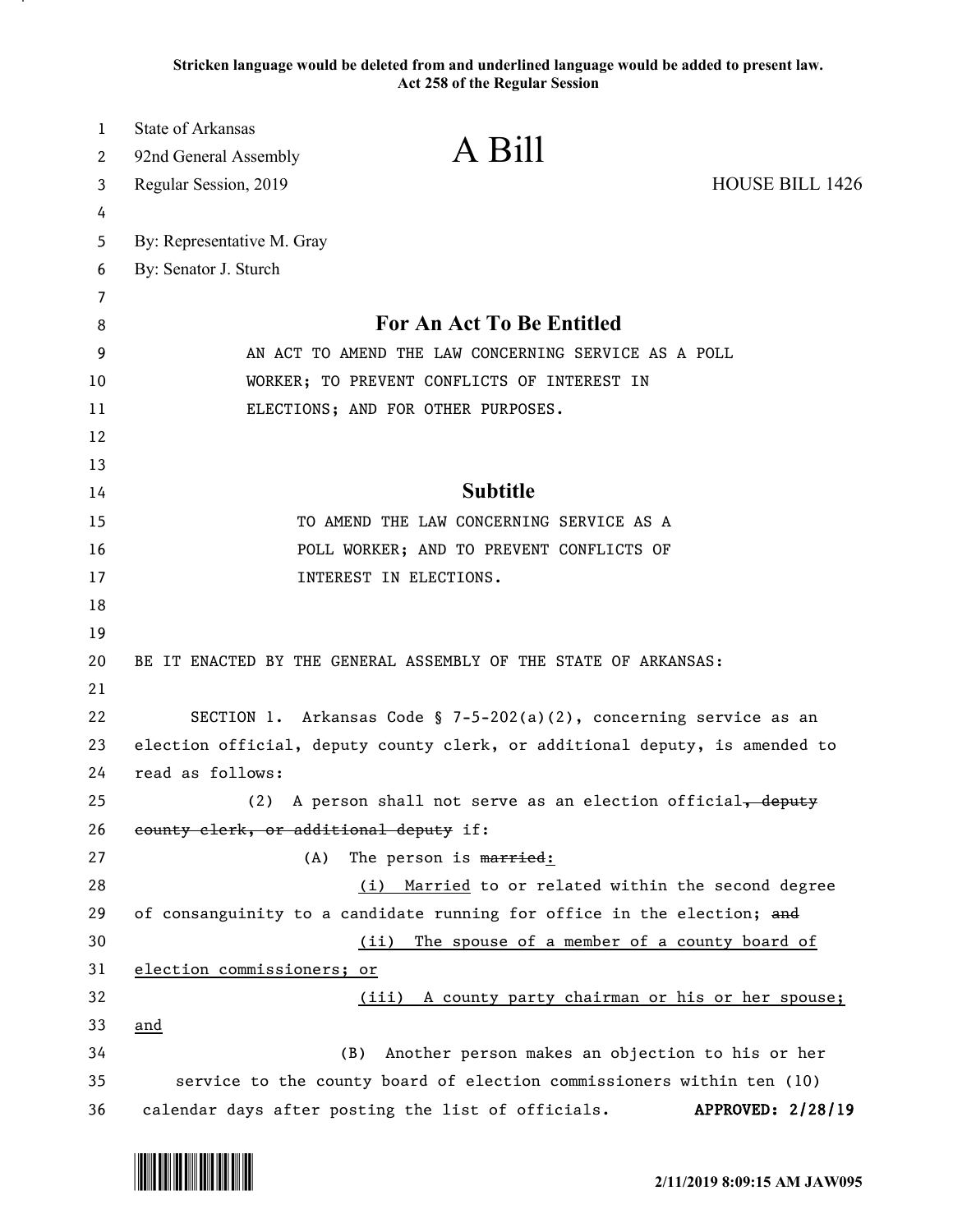**Stricken language would be deleted from and underlined language would be added to present law. Act 258 of the Regular Session** 

| $\mathbf{1}$ | <b>State of Arkansas</b><br>A Bill                                          |                        |
|--------------|-----------------------------------------------------------------------------|------------------------|
| 2            | 92nd General Assembly                                                       |                        |
| 3            | Regular Session, 2019                                                       | <b>HOUSE BILL 1426</b> |
| 4            |                                                                             |                        |
| 5            | By: Representative M. Gray                                                  |                        |
| 6            | By: Senator J. Sturch                                                       |                        |
| 7<br>8       | For An Act To Be Entitled                                                   |                        |
| 9            | AN ACT TO AMEND THE LAW CONCERNING SERVICE AS A POLL                        |                        |
| 10           | WORKER; TO PREVENT CONFLICTS OF INTEREST IN                                 |                        |
| 11           | ELECTIONS; AND FOR OTHER PURPOSES.                                          |                        |
| 12           |                                                                             |                        |
| 13           |                                                                             |                        |
| 14           | <b>Subtitle</b>                                                             |                        |
| 15           | TO AMEND THE LAW CONCERNING SERVICE AS A                                    |                        |
| 16           | POLL WORKER; AND TO PREVENT CONFLICTS OF                                    |                        |
| 17           | INTEREST IN ELECTIONS.                                                      |                        |
| 18           |                                                                             |                        |
| 19           |                                                                             |                        |
| 20           | BE IT ENACTED BY THE GENERAL ASSEMBLY OF THE STATE OF ARKANSAS:             |                        |
| 21           |                                                                             |                        |
| 22           | SECTION 1. Arkansas Code § 7-5-202(a)(2), concerning service as an          |                        |
| 23           | election official, deputy county clerk, or additional deputy, is amended to |                        |
| 24           | read as follows:                                                            |                        |
| 25           | A person shall not serve as an election official, deputy<br>(2)             |                        |
| 26           | county clerk, or additional deputy if:                                      |                        |
| 27           | The person is married:<br>(A)                                               |                        |
| 28           | Married to or related within the second degree<br>(i)                       |                        |
| 29           | of consanguinity to a candidate running for office in the election; and     |                        |
| 30           | The spouse of a member of a county board of<br>(ii)                         |                        |
| 31           | election commissioners; or                                                  |                        |
| 32           | (iii) A county party chairman or his or her spouse;                         |                        |
| 33<br>34     | and<br>Another person makes an objection to his or her<br>(B)               |                        |
| 35           | service to the county board of election commissioners within ten (10)       |                        |
| 36           | calendar days after posting the list of officials.                          | APPROVED: 2/28/19      |

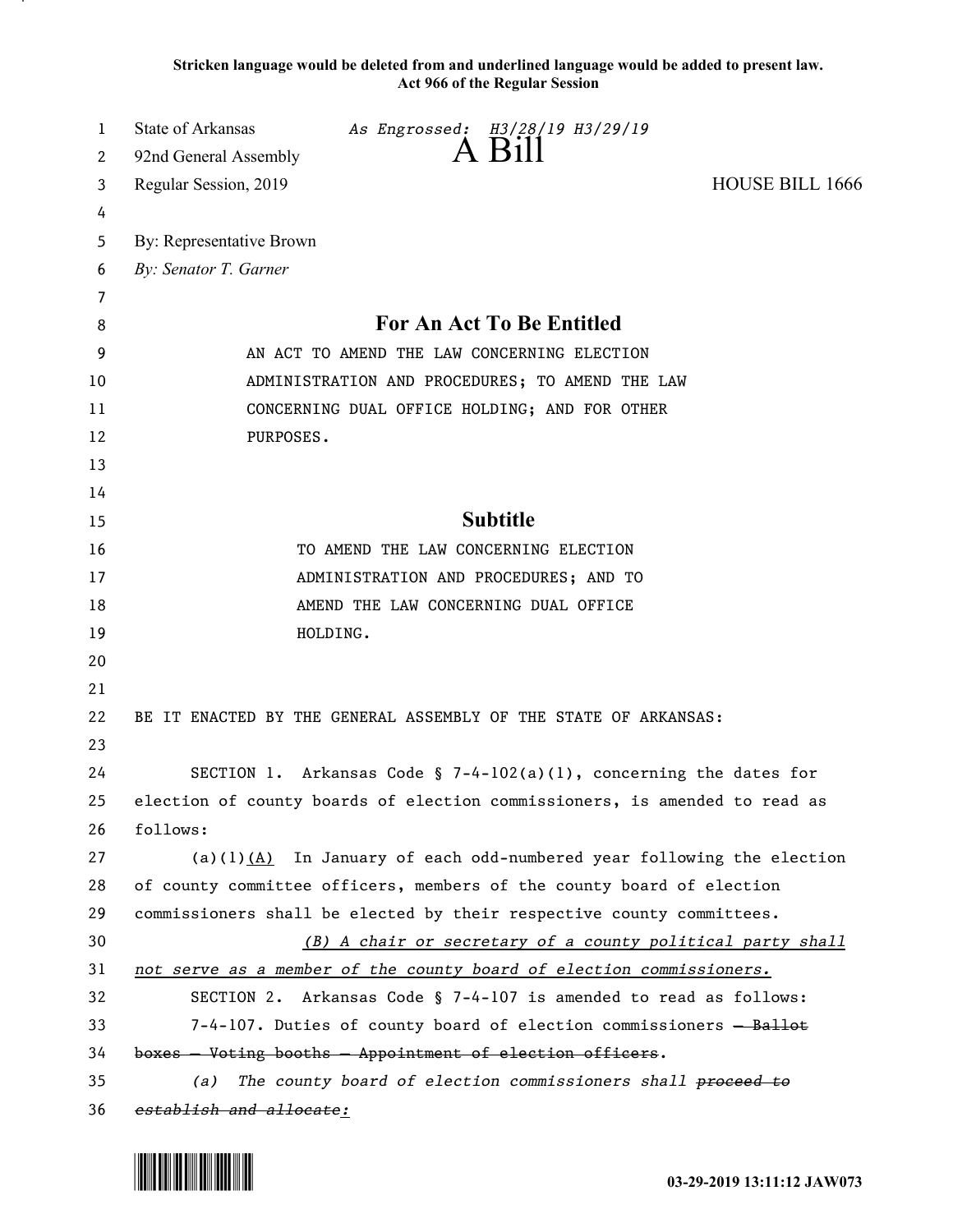**Stricken language would be deleted from and underlined language would be added to present law. Act 966 of the Regular Session** 

| 1  | State of Arkansas<br>As Engrossed: H3/28/19 H3/29/19                       |
|----|----------------------------------------------------------------------------|
| 2  | $A$ Bill<br>92nd General Assembly                                          |
| 3  | <b>HOUSE BILL 1666</b><br>Regular Session, 2019                            |
| 4  |                                                                            |
| 5  | By: Representative Brown                                                   |
| 6  | By: Senator T. Garner                                                      |
| 7  |                                                                            |
| 8  | For An Act To Be Entitled                                                  |
| 9  | AN ACT TO AMEND THE LAW CONCERNING ELECTION                                |
| 10 | ADMINISTRATION AND PROCEDURES; TO AMEND THE LAW                            |
| 11 | CONCERNING DUAL OFFICE HOLDING; AND FOR OTHER                              |
| 12 | PURPOSES.                                                                  |
| 13 |                                                                            |
| 14 |                                                                            |
| 15 | <b>Subtitle</b>                                                            |
| 16 | TO AMEND THE LAW CONCERNING ELECTION                                       |
| 17 | ADMINISTRATION AND PROCEDURES; AND TO                                      |
| 18 | AMEND THE LAW CONCERNING DUAL OFFICE                                       |
| 19 | HOLDING.                                                                   |
| 20 |                                                                            |
| 21 |                                                                            |
| 22 | BE IT ENACTED BY THE GENERAL ASSEMBLY OF THE STATE OF ARKANSAS:            |
| 23 |                                                                            |
| 24 | SECTION 1. Arkansas Code § 7-4-102(a)(1), concerning the dates for         |
| 25 | election of county boards of election commissioners, is amended to read as |
| 26 | follows:                                                                   |
| 27 | (a)(1) $(A)$ In January of each odd-numbered year following the election   |
| 28 | of county committee officers, members of the county board of election      |
| 29 | commissioners shall be elected by their respective county committees.      |
| 30 | (B) A chair or secretary of a county political party shall                 |
| 31 | not serve as a member of the county board of election commissioners.       |
| 32 | SECTION 2. Arkansas Code § 7-4-107 is amended to read as follows:          |
| 33 | 7-4-107. Duties of county board of election commissioners - Ballot         |
| 34 | boxes - Voting booths - Appointment of election officers.                  |
| 35 | The county board of election commissioners shall proceed to<br>(a)         |
| 36 | establish and allocate:                                                    |

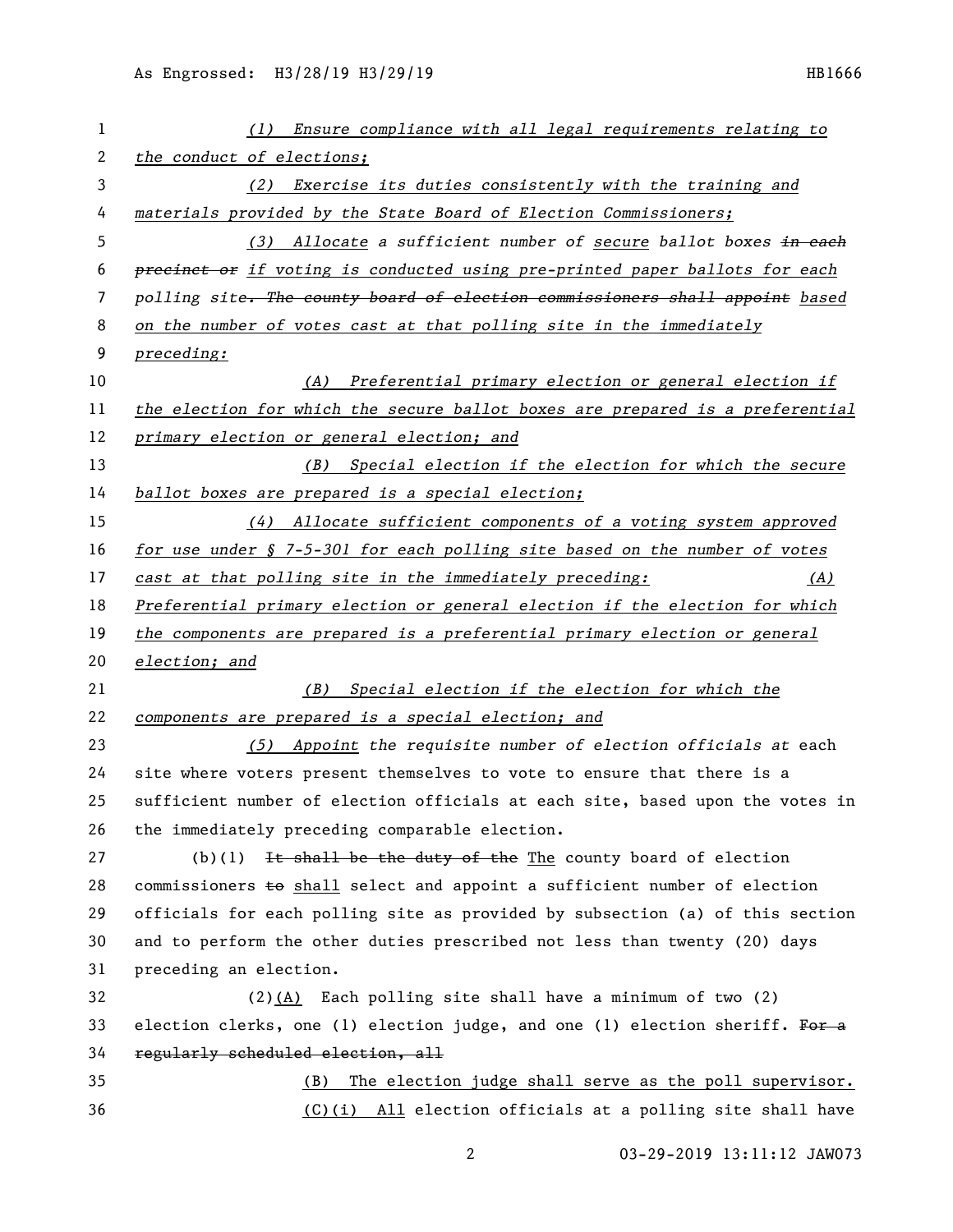| 1  | (1) Ensure compliance with all legal requirements relating to                  |
|----|--------------------------------------------------------------------------------|
| 2  | the conduct of elections;                                                      |
| 3  | Exercise its duties consistently with the training and<br>(2)                  |
| 4  | materials provided by the State Board of Election Commissioners;               |
| 5  | (3) Allocate a sufficient number of secure ballot boxes in each                |
| 6  | precinct or if voting is conducted using pre-printed paper ballots for each    |
| 7  | polling site. The county board of election commissioners shall appoint based   |
| 8  | on the number of votes cast at that polling site in the immediately            |
| 9  | preceding:                                                                     |
| 10 | Preferential primary election or general election if<br>(A)                    |
| 11 | the election for which the secure ballot boxes are prepared is a preferential  |
| 12 | primary election or general election; and                                      |
| 13 | (B) Special election if the election for which the secure                      |
| 14 | ballot boxes are prepared is a special election;                               |
| 15 | (4) Allocate sufficient components of a voting system approved                 |
| 16 | for use under § 7-5-301 for each polling site based on the number of votes     |
| 17 | cast at that polling site in the immediately preceding:<br>(A)                 |
| 18 | Preferential primary election or general election if the election for which    |
| 19 | the components are prepared is a preferential primary election or general      |
| 20 | election; and                                                                  |
| 21 | (B) Special election if the election for which the                             |
| 22 | components are prepared is a special election; and                             |
| 23 | (5) Appoint the requisite number of election officials at each                 |
| 24 | site where voters present themselves to vote to ensure that there is a         |
| 25 | sufficient number of election officials at each site, based upon the votes in  |
| 26 | the immediately preceding comparable election.                                 |
| 27 | (b)(1) It shall be the duty of the The county board of election                |
| 28 | commissioners $\pm$ o shall select and appoint a sufficient number of election |
| 29 | officials for each polling site as provided by subsection (a) of this section  |
| 30 | and to perform the other duties prescribed not less than twenty (20) days      |
| 31 | preceding an election.                                                         |
| 32 | $(2)$ (A) Each polling site shall have a minimum of two (2)                    |
| 33 | election clerks, one (1) election judge, and one (1) election sheriff. For a   |
| 34 | regularly scheduled election, all                                              |
| 35 | The election judge shall serve as the poll supervisor.<br>(B)                  |
| 36 | $(C)(i)$ All election officials at a polling site shall have                   |
|    |                                                                                |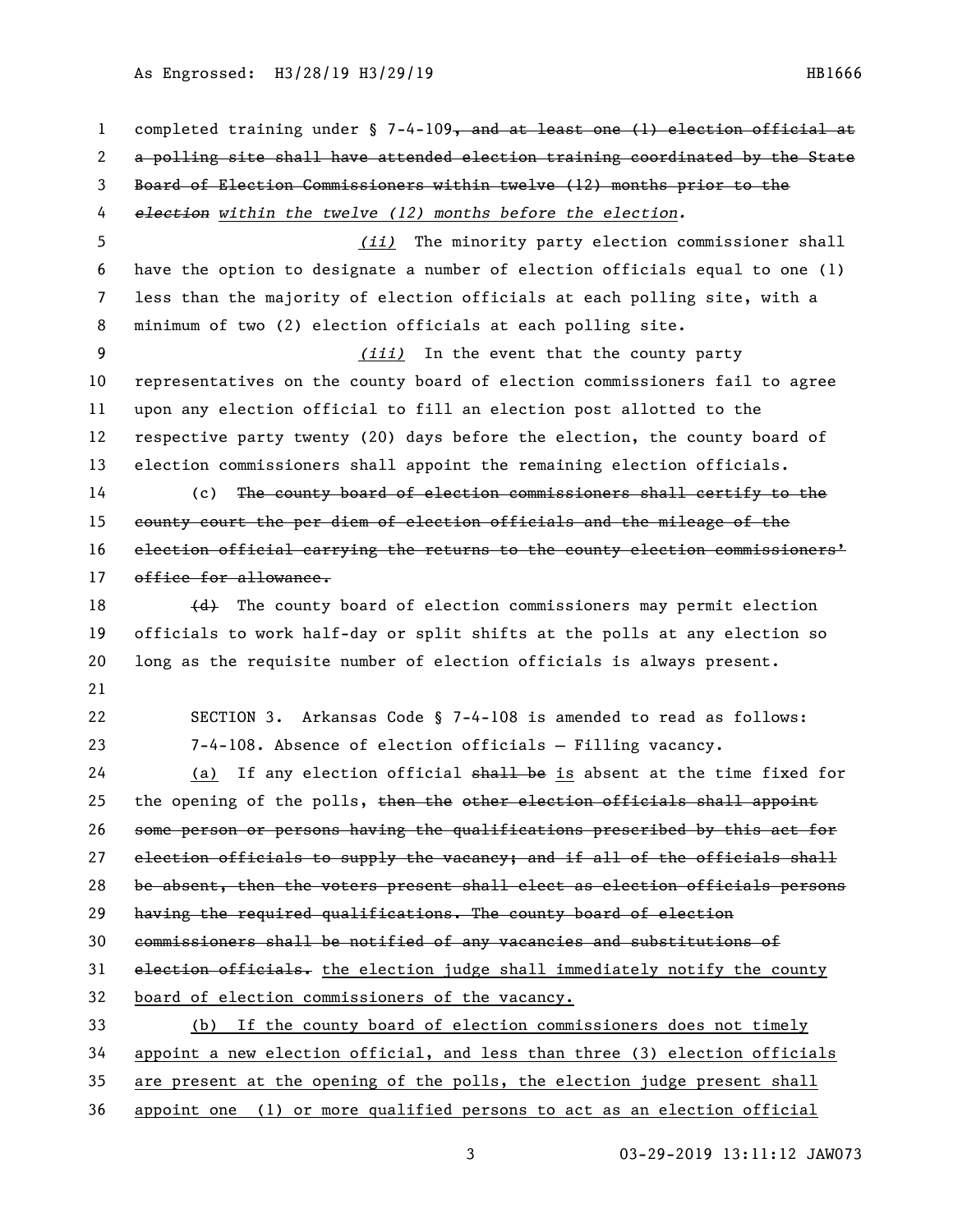As Engrossed: H3/28/19 H3/29/19 **HB1666** 

1 completed training under § 7-4-109, and at least one (1) election official at a polling site shall have attended election training coordinated by the State Board of Election Commissioners within twelve (12) months prior to the *election within the twelve (12) months before the election. (ii)* The minority party election commissioner shall have the option to designate a number of election officials equal to one (1) less than the majority of election officials at each polling site, with a minimum of two (2) election officials at each polling site. *(iii)* In the event that the county party representatives on the county board of election commissioners fail to agree upon any election official to fill an election post allotted to the respective party twenty (20) days before the election, the county board of election commissioners shall appoint the remaining election officials. (c) The county board of election commissioners shall certify to the county court the per diem of election officials and the mileage of the election official carrying the returns to the county election commissioners' 17 office for allowance.  $\left\{\frac{d}{dt}\right\}$  The county board of election commissioners may permit election officials to work half-day or split shifts at the polls at any election so long as the requisite number of election officials is always present. SECTION 3. Arkansas Code § 7-4-108 is amended to read as follows: 23 7-4-108. Absence of election officials — Filling vacancy. 24 (a) If any election official shall be is absent at the time fixed for 25 the opening of the polls, then the other election officials shall appoint some person or persons having the qualifications prescribed by this act for election officials to supply the vacancy; and if all of the officials shall be absent, then the voters present shall elect as election officials persons having the required qualifications. The county board of election commissioners shall be notified of any vacancies and substitutions of 31 election officials. the election judge shall immediately notify the county board of election commissioners of the vacancy. (b) If the county board of election commissioners does not timely appoint a new election official, and less than three (3) election officials are present at the opening of the polls, the election judge present shall appoint one (1) or more qualified persons to act as an election official

3 03-29-2019 13:11:12 JAW073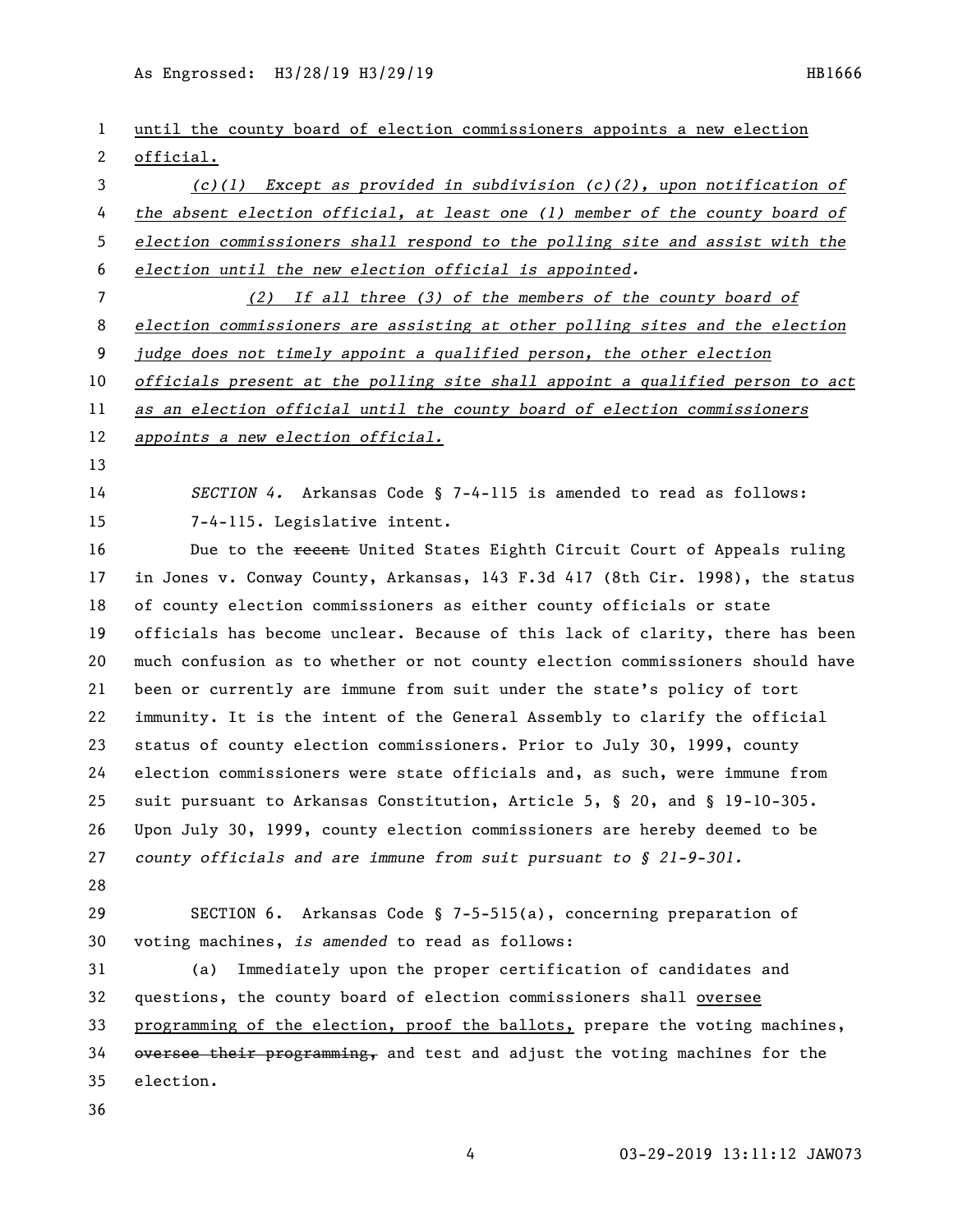As Engrossed: H3/28/19 H3/29/19 HB1666

| 1  | until the county board of election commissioners appoints a new election      |
|----|-------------------------------------------------------------------------------|
| 2  | official.                                                                     |
| 3  | $(c)(1)$ Except as provided in subdivision $(c)(2)$ , upon notification of    |
| 4  | the absent election official, at least one (1) member of the county board of  |
| 5  | election commissioners shall respond to the polling site and assist with the  |
| 6  | election until the new election official is appointed.                        |
| 7  | $(2)$ If all three $(3)$ of the members of the county board of                |
| 8  | election commissioners are assisting at other polling sites and the election  |
| 9  | judge does not timely appoint a qualified person, the other election          |
| 10 | officials present at the polling site shall appoint a qualified person to act |
| 11 | as an election official until the county board of election commissioners      |
| 12 | appoints a new election official.                                             |
| 13 |                                                                               |
| 14 | SECTION 4. Arkansas Code $\S$ 7-4-115 is amended to read as follows:          |
| 15 | 7-4-115. Legislative intent.                                                  |
| 16 | Due to the recent United States Eighth Circuit Court of Appeals ruling        |
| 17 | in Jones v. Conway County, Arkansas, 143 F.3d 417 (8th Cir. 1998), the status |
| 18 | of county election commissioners as either county officials or state          |
| 19 | officials has become unclear. Because of this lack of clarity, there has been |
| 20 | much confusion as to whether or not county election commissioners should have |
| 21 | been or currently are immune from suit under the state's policy of tort       |
| 22 | immunity. It is the intent of the General Assembly to clarify the official    |
| 23 | status of county election commissioners. Prior to July 30, 1999, county       |
| 24 | election commissioners were state officials and, as such, were immune from    |
| 25 | suit pursuant to Arkansas Constitution, Article 5, § 20, and § 19-10-305.     |
| 26 | Upon July 30, 1999, county election commissioners are hereby deemed to be     |
| 27 | county officials and are immune from suit pursuant to $\S$ 21-9-301.          |
| 28 |                                                                               |
| 29 | SECTION 6. Arkansas Code § 7-5-515(a), concerning preparation of              |
| 30 | voting machines, is amended to read as follows:                               |
| 31 | Immediately upon the proper certification of candidates and<br>(a)            |
| 32 | questions, the county board of election commissioners shall oversee           |
| 33 | programming of the election, proof the ballots, prepare the voting machines,  |
| 34 | oversee their programming, and test and adjust the voting machines for the    |
| 35 | election.                                                                     |
| 36 |                                                                               |
|    |                                                                               |